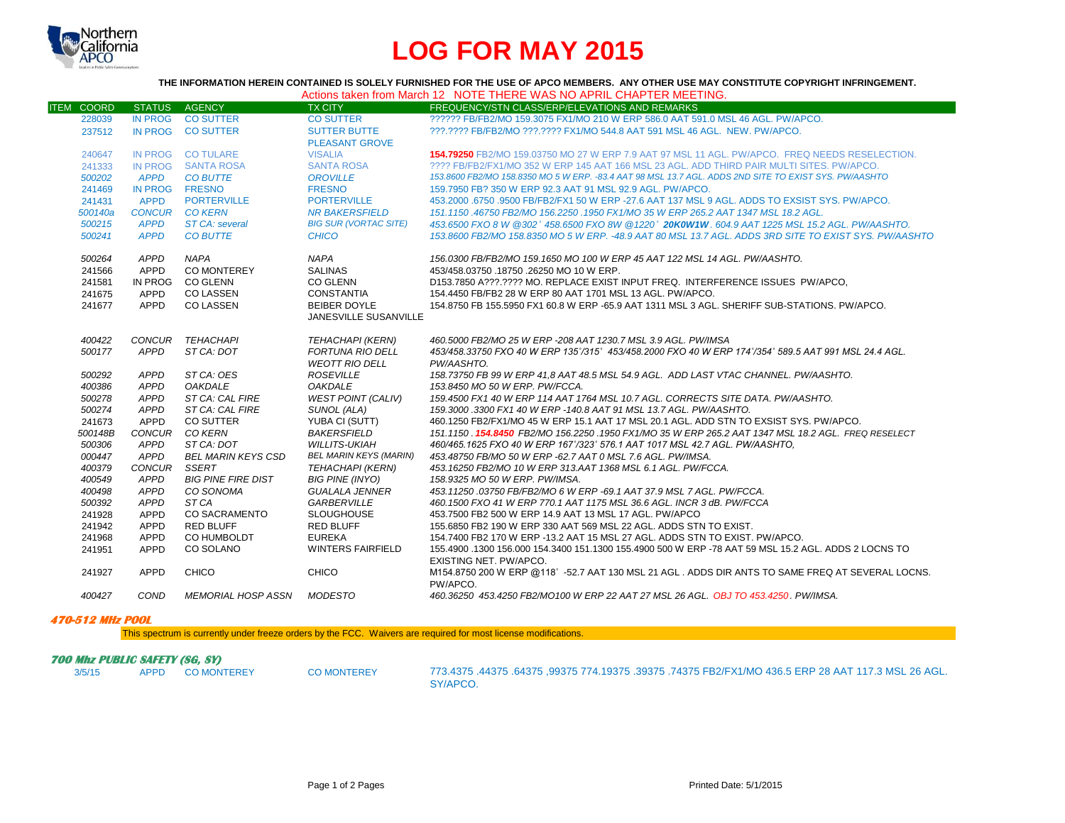

# **LOG FOR MAY 2015**

**THE INFORMATION HEREIN CONTAINED IS SOLELY FURNISHED FOR THE USE OF APCO MEMBERS. ANY OTHER USE MAY CONSTITUTE COPYRIGHT INFRINGEMENT.**

| Actions taken from March 12 NOTE THERE WAS NO APRIL CHAPTER MEETING. |
|----------------------------------------------------------------------|
|----------------------------------------------------------------------|

| <b>ITEM COORD</b> | STATUS AGENCY  |                                   | <b>TX CITY</b>                | FREQUENCY/STN CLASS/ERP/ELEVATIONS AND REMARKS                                                            |
|-------------------|----------------|-----------------------------------|-------------------------------|-----------------------------------------------------------------------------------------------------------|
| 228039            |                | IN PROG CO SUTTER                 | <b>CO SUTTER</b>              | ?????? FB/FB2/MO 159.3075 FX1/MO 210 W ERP 586.0 AAT 591.0 MSL 46 AGL, PW/APCO.                           |
| 237512            |                | IN PROG CO SUTTER                 | <b>SUTTER BUTTE</b>           | 222.2222 FB/FB2/MO 222.2222 FX1/MO 544.8 AAT 591 MSL 46 AGL. NEW. PW/APCO.                                |
|                   |                |                                   | <b>PLEASANT GROVE</b>         |                                                                                                           |
| 240647            |                | IN PROG CO TULARE                 | <b>VISALIA</b>                | 154.79250 FB2/MO 159.03750 MO 27 W ERP 7.9 AAT 97 MSL 11 AGL, PW/APCO. FREQ NEEDS RESELECTION.            |
| 241333            |                | IN PROG SANTA ROSA                | <b>SANTA ROSA</b>             | ???? FB/FB2/FX1/MO 352 W ERP 145 AAT 166 MSL 23 AGL. ADD THIRD PAIR MULTI SITES, PW/APCO,                 |
| 500202            | <b>APPD</b>    | <b>CO BUTTE</b>                   | <b>OROVILLE</b>               | 153.8600 FB2/MO 158.8350 MO 5 W ERP. -83.4 AAT 98 MSL 13.7 AGL. ADDS 2ND SITE TO EXIST SYS. PW/AASHTO     |
| 241469            | IN PROG FRESNO |                                   | <b>FRESNO</b>                 | 159.7950 FB? 350 W ERP 92.3 AAT 91 MSL 92.9 AGL, PW/APCO.                                                 |
| 241431            | <b>APPD</b>    | <b>PORTERVILLE</b>                | <b>PORTERVILLE</b>            | 453,2000,6750,9500 FB/FB2/FX1 50 W ERP -27.6 AAT 137 MSL 9 AGL, ADDS TO EXSIST SYS, PW/APCO,              |
| 500140a           |                | <b>CONCUR CO KERN</b>             | <b>NR BAKERSFIELD</b>         | 151.1150,46750 FB2/MO 156.2250,1950 FX1/MO 35 W ERP 265.2 AAT 1347 MSL 18.2 AGL.                          |
| 500215            | <b>APPD</b>    | ST CA: several                    | <b>BIG SUR (VORTAC SITE)</b>  | 453,6500 FXO 8 W @302° 458,6500 FXO 8W @1220° 20KOW1W, 604.9 AAT 1225 MSL 15.2 AGL, PW/AASHTO,            |
| 500241            | <b>APPD</b>    | <b>CO BUTTE</b>                   | <b>CHICO</b>                  | 153.8600 FB2/MO 158.8350 MO 5 W ERP. -48.9 AAT 80 MSL 13.7 AGL. ADDS 3RD SITE TO EXIST SYS. PW/AASHTO     |
| 500264            | APPD           | <b>NAPA</b>                       | <b>NAPA</b>                   | 156.0300 FB/FB2/MO 159.1650 MO 100 W ERP 45 AAT 122 MSL 14 AGL. PW/AASHTO.                                |
| 241566            | APPD           | CO MONTEREY                       | <b>SALINAS</b>                | 453/458.03750 .18750 .26250 MO 10 W ERP.                                                                  |
| 241581            | IN PROG        | <b>CO GLENN</b>                   | CO GLENN                      | D153.7850 A???.???? MO. REPLACE EXIST INPUT FREQ. INTERFERENCE ISSUES PW/APCO.                            |
| 241675            | APPD           | <b>CO LASSEN</b>                  | CONSTANTIA                    | 154.4450 FB/FB2 28 W ERP 80 AAT 1701 MSL 13 AGL. PW/APCO.                                                 |
| 241677            | APPD           | <b>CO LASSEN</b>                  | <b>BEIBER DOYLE</b>           | 154.8750 FB 155.5950 FX1 60.8 W ERP -65.9 AAT 1311 MSL 3 AGL. SHERIFF SUB-STATIONS, PW/APCO,              |
|                   |                |                                   | JANESVILLE SUSANVILLE         |                                                                                                           |
|                   |                |                                   |                               |                                                                                                           |
| 400422            |                | CONCUR TEHACHAPI                  | <b>TEHACHAPI (KERN)</b>       | 460.5000 FB2/MO 25 W ERP -208 AAT 1230.7 MSL 3.9 AGL. PW/IMSA                                             |
| 500177            | APPD           | ST CA: DOT                        | FORTUNA RIO DELL              | 453/458.33750 FXO 40 W ERP 135°/315° 453/458.2000 FXO 40 W ERP 174°/354° 589.5 AAT 991 MSL 24.4 AGL.      |
|                   |                |                                   | <b>WEOTT RIO DELL</b>         | PW/AASHTO.                                                                                                |
| 500292            | APPD           | ST CA: OES                        | <b>ROSEVILLE</b>              | 158.73750 FB 99 W ERP 41.8 AAT 48.5 MSL 54.9 AGL. ADD LAST VTAC CHANNEL. PW/AASHTO.                       |
| 400386            | APPD           | <b>OAKDALE</b>                    | <b>OAKDALE</b>                | 153.8450 MO 50 W ERP. PW/FCCA.                                                                            |
| 500278            | APPD           | ST CA: CAL FIRE                   | <b>WEST POINT (CALIV)</b>     | 159.4500 FX1 40 W ERP 114 AAT 1764 MSL 10.7 AGL. CORRECTS SITE DATA. PW/AASHTO.                           |
| 500274            | APPD           | ST CA: CAL FIRE                   | SUNOL (ALA)                   | 159.3000.3300 FX1 40 W ERP -140.8 AAT 91 MSL 13.7 AGL. PW/AASHTO.                                         |
| 241673            | APPD           | CO SUTTER                         | YUBA CI (SUTT)                | 460.1250 FB2/FX1/MO 45 W ERP 15.1 AAT 17 MSL 20.1 AGL. ADD STN TO EXSIST SYS. PW/APCO.                    |
| 500148B           | CONCUR         | CO KERN                           | <b>BAKERSFIELD</b>            | 151.1150 <b>154.8450 FB</b> 2/MO 156.2250 1950 FX1/MO 35 W ERP 265.2 AAT 1347 MSL 18.2 AGL. FREQ RESELECT |
| 500306            | APPD           | ST CA: DOT                        | <b>WILLITS-UKIAH</b>          | 460/465.1625 FXO 40 W ERP 167°/323° 576.1 AAT 1017 MSL 42.7 AGL. PW/AASHTO,                               |
| 000447            | APPD           | <b>BEL MARIN KEYS CSD</b>         | <b>BEL MARIN KEYS (MARIN)</b> | 453.48750 FB/MO 50 W ERP -62.7 AAT 0 MSL 7.6 AGL. PW/IMSA.                                                |
| 400379            | CONCUR SSERT   |                                   | <b>TEHACHAPI (KERN)</b>       | 453.16250 FB2/MO 10 W ERP 313.AAT 1368 MSL 6.1 AGL. PW/FCCA.                                              |
| 400549            | APPD           | <b>BIG PINE FIRE DIST</b>         | <b>BIG PINE (INYO)</b>        | 158.9325 MO 50 W ERP. PW/IMSA.                                                                            |
| 400498            | APPD           | CO SONOMA                         | <b>GUALALA JENNER</b>         | 453.11250.03750 FB/FB2/MO 6 W ERP -69.1 AAT 37.9 MSL 7 AGL. PW/FCCA.                                      |
| 500392            | APPD           | ST CA                             | <b>GARBERVILLE</b>            | 460.1500 FXO 41 W ERP 770.1 AAT 1175 MSL 36.6 AGL. INCR 3 dB. PW/FCCA                                     |
| 241928            | APPD           | <b>CO SACRAMENTO</b>              | <b>SLOUGHOUSE</b>             | 453.7500 FB2 500 W ERP 14.9 AAT 13 MSL 17 AGL, PW/APCO                                                    |
| 241942            | APPD           | <b>RED BLUFF</b>                  | <b>RED BLUFF</b>              | 155.6850 FB2 190 W ERP 330 AAT 569 MSL 22 AGL. ADDS STN TO EXIST.                                         |
| 241968            | APPD           | CO HUMBOLDT                       | <b>EUREKA</b>                 | 154.7400 FB2 170 W ERP -13.2 AAT 15 MSL 27 AGL. ADDS STN TO EXIST, PW/APCO.                               |
| 241951            | APPD           | CO SOLANO                         | <b>WINTERS FAIRFIELD</b>      | 155.4900 .1300 156.000 154.3400 151.1300 155.4900 500 W ERP -78 AAT 59 MSL 15.2 AGL. ADDS 2 LOCNS TO      |
|                   |                |                                   |                               | EXISTING NET. PW/APCO.                                                                                    |
| 241927            | APPD           | CHICO                             | <b>CHICO</b>                  | M154.8750 200 W ERP @118° -52.7 AAT 130 MSL 21 AGL. ADDS DIR ANTS TO SAME FREQ AT SEVERAL LOCNS.          |
|                   |                |                                   |                               | PW/APCO.                                                                                                  |
| 400427            | COND           | <b>MEMORIAL HOSP ASSN MODESTO</b> |                               | 460.36250 453.4250 FB2/MO100 W ERP 22 AAT 27 MSL 26 AGL, OBJ TO 453.4250, PW/IMSA.                        |

#### **470-512 MHz POOL**

This spectrum is currently under freeze orders by the FCC. Waivers are required for most license modifications.

## **700 Mhz PUBLIC SAFETY (SG, SV)**<br>3/5/15 APPD COMONTEREY

3/5/15 APPD CO MONTEREY CO MONTEREY 773.4375 .44375 .64375 ,99375 774.19375 .39375 .74375 FB2/FX1/MO 436.5 ERP 28 AAT 117.3 MSL 26 AGL. SY/APCO.